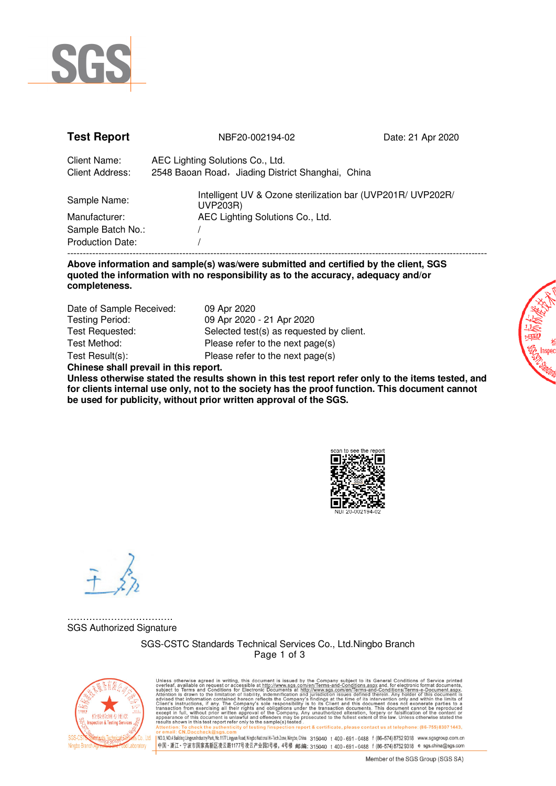

| <b>Test Report</b>                                 | NBF20-002194-02                                                                                             | Date: 21 Apr 2020 |  |
|----------------------------------------------------|-------------------------------------------------------------------------------------------------------------|-------------------|--|
| Client Name:<br><b>Client Address:</b>             | AEC Lighting Solutions Co., Ltd.<br>2548 Baoan Road, Jiading District Shanghai, China                       |                   |  |
| Sample Name:<br>Manufacturer:<br>Sample Batch No.: | Intelligent UV & Ozone sterilization bar (UVP201R/ UVP202R/<br>UVP203R)<br>AEC Lighting Solutions Co., Ltd. |                   |  |
| <b>Production Date:</b>                            |                                                                                                             |                   |  |

## **Above information and sample(s) was/were submitted and certified by the client, SGS quoted the information with no responsibility as to the accuracy, adequacy and/or completeness.**

| Date of Sample Received: | 09 Apr 2020                              |
|--------------------------|------------------------------------------|
| <b>Testing Period:</b>   | 09 Apr 2020 - 21 Apr 2020                |
| Test Requested:          | Selected test(s) as requested by client. |
| Test Method:             | Please refer to the next page(s)         |
| Test Result(s):          | Please refer to the next page(s)         |
|                          |                                          |

**Chinese shall prevail in this report.** 

**Unless otherwise stated the results shown in this test report refer only to the items tested, and for clients internal use only, not to the society has the proof function. This document cannot be used for publicity, without prior written approval of the SGS.** 



…………………………… SGS Authorized Signature

> SGS-CSTC Standards Technical Services Co., Ltd.Ningbo Branch Page 1 of 3



Unless otherwise agreed in writing, this document is issued by the Company subject to its General Conditions of Service printed available on request or accessible at this document is subject to Terms and Conditions for El report & certificate, please contact us at telephone: (86-755) 8307 1443. v Mexical : crystness (https://www.sgssreview.com/mexical/higholalabinalHi-Tech2one,Ningbo,China 315040 t 400-691-0488 f (86–574)87529318 www.sgsgroup.com.cn<br>|中国 - 浙江 - 宁波市国家高新区凌云路1177号凌云产业园3号楼,4号楼 -邮编: 315040 t 400-691-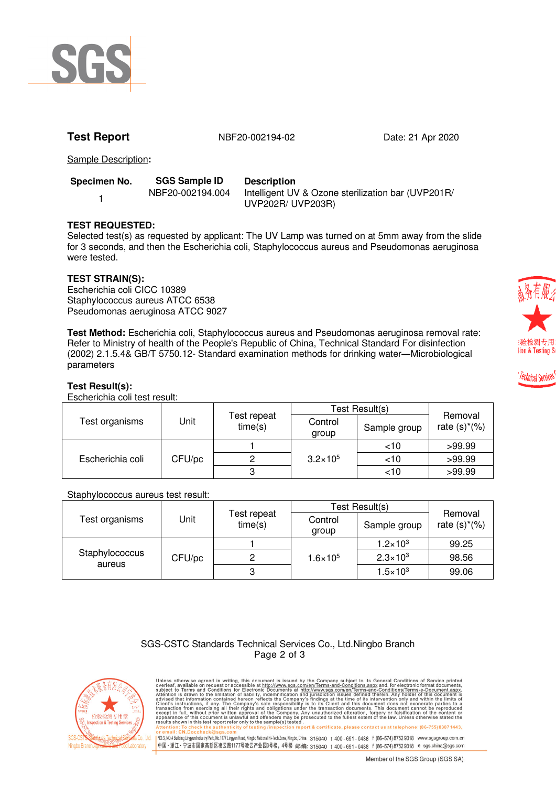

**Test Report** 1982 1994-02 1944-02 Date: 21 Apr 2020

Sample Description**:**

| Specimen No. | <b>SGS Sample ID</b> | <b>Description</b>                                                      |
|--------------|----------------------|-------------------------------------------------------------------------|
|              | NBF20-002194.004     | Intelligent UV & Ozone sterilization bar (UVP201R/<br>UVP202R/ UVP203R) |

# **TEST REQUESTED:**

Selected test(s) as requested by applicant: The UV Lamp was turned on at 5mm away from the slide for 3 seconds, and then the Escherichia coli, Staphylococcus aureus and Pseudomonas aeruginosa were tested.

### **TEST STRAIN(S):**

Escherichia coli CICC 10389 Staphylococcus aureus ATCC 6538 Pseudomonas aeruginosa ATCC 9027

**Test Method:** Escherichia coli, Staphylococcus aureus and Pseudomonas aeruginosa removal rate: Refer to Ministry of health of the People's Republic of China, Technical Standard For disinfection (2002) 2.1.5.4& GB/T 5750.12- Standard examination methods for drinking water―Microbiological parameters

### **Test Result(s):**

Escherichia coli test result:

| Test organisms   | Jnit   | Test repeat<br>time(s) | Test Result(s)      |              |                            |
|------------------|--------|------------------------|---------------------|--------------|----------------------------|
|                  |        |                        | Control<br>group    | Sample group | Removal<br>rate $(s)*(\%)$ |
| Escherichia coli | CFU/pc |                        | $3.2 \times 10^{5}$ | ~10          | >99.99                     |
|                  |        |                        |                     | <10          | >99.99                     |
|                  |        |                        |                     | <10          | >99.99                     |

#### Staphylococcus aureus test result:

|                          |        |                        | Test Result(s)      |                     |                            |
|--------------------------|--------|------------------------|---------------------|---------------------|----------------------------|
| Test organisms           | Jnit   | Test repeat<br>time(s) | Control<br>group    | Sample group        | Removal<br>rate $(s)*(\%)$ |
| Staphylococcus<br>aureus | CFU/pc |                        | $1.6 \times 10^{5}$ | $1.2 \times 10^{3}$ | 99.25                      |
|                          |        |                        |                     | $2.3 \times 10^{3}$ | 98.56                      |
|                          |        |                        |                     | $1.5 \times 10^{3}$ | 99.06                      |

| SGS-CSTC Standards Technical Services Co., Ltd.Ningbo Branch |
|--------------------------------------------------------------|
| Page 2 of 3                                                  |



Unless otherwise agreed in writing, this document is issued by the Company subject to its General Conditions of Service printed available on request or accessible at this document is subject to Terms and Conditions for El report & certificate, please contact us at telephone: (86-755) 8307 1443 or em.an: <u>: Kn.Doccheck/assps.com</u><br>|NO.3,NO.4Building.LingyunIndustyPark,No.1177LingyunRoad,Ningbo.Naional Hi-TechZone,Ningbo,China 315040 t 400 - 691 - 0488 f (86–574) 8752 9318 www.sgsgroup.com.cn<br>|中国・浙江・宁波市国家高新区凌云路11



echnical Services